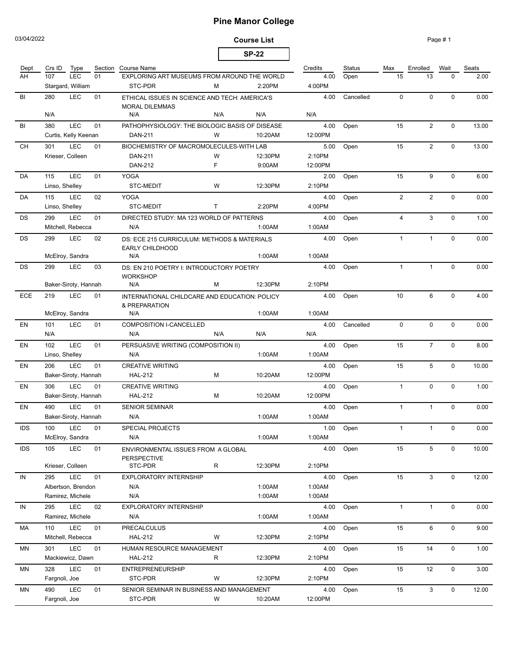# **Pine Manor College**

03/04/2022

### **Course List SP-22**

Page # 1

| Dept       | Crs ID                                                            | Type                 |    | Section Course Name                                                    |     |         | Credits        | <b>Status</b> | Max             | Enrolled       | Wait        | Seats |
|------------|-------------------------------------------------------------------|----------------------|----|------------------------------------------------------------------------|-----|---------|----------------|---------------|-----------------|----------------|-------------|-------|
| AH         | LEC<br>107<br>01<br>Stargard, William                             |                      |    | EXPLORING ART MUSEUMS FROM AROUND THE WORLD<br>STC-PDR<br>2:20PM<br>м  |     |         | 4.00<br>4:00PM | Open          | 15              | 13             | $\Omega$    | 2.00  |
|            |                                                                   |                      |    |                                                                        |     |         |                |               |                 |                |             |       |
| BI         | LEC<br>280<br>01                                                  |                      |    | ETHICAL ISSUES IN SCIENCE AND TECH: AMERICA'S<br><b>MORAL DILEMMAS</b> |     |         | 4.00           | Cancelled     | $\mathbf{0}$    | $\Omega$       | $\Omega$    | 0.00  |
|            | N/A                                                               |                      |    | N/A                                                                    | N/A | N/A     | N/A            |               |                 |                |             |       |
| BI         | 380                                                               | <b>LEC</b>           | 01 | PATHOPHYSIOLOGY: THE BIOLOGIC BASIS OF DISEASE                         |     |         | 4.00           | Open          | 15              | $\overline{2}$ | $\mathbf 0$ | 13.00 |
|            |                                                                   | Curtis, Kelly Keenan |    | DAN-211                                                                | W   | 10:20AM | 12:00PM        |               |                 |                |             |       |
| CH         | LEC<br>301<br>01                                                  |                      |    | BIOCHEMISTRY OF MACROMOLECULES-WITH LAB                                |     |         | 5.00           | Open          | 15              | $\overline{2}$ | $\mathbf 0$ | 13.00 |
|            | Krieser, Colleen                                                  |                      |    | DAN-211                                                                | W   | 12:30PM | 2:10PM         |               |                 |                |             |       |
|            |                                                                   |                      |    | <b>DAN-212</b>                                                         | F.  | 9:00AM  | 12:00PM        |               |                 |                |             |       |
| DA         | 115                                                               | LEC                  | 01 | <b>YOGA</b>                                                            |     |         | 2.00           | Open          | 15              | 9              | $\mathbf 0$ | 6.00  |
|            | Linso, Shelley                                                    |                      |    | STC-MEDIT                                                              | W   | 12:30PM | 2:10PM         |               |                 |                |             |       |
| DA         | LEC<br>115<br>02                                                  |                      |    | <b>YOGA</b>                                                            |     |         | 4.00           | Open          | $\overline{2}$  | $\overline{2}$ | $\Omega$    | 0.00  |
| DS         | Linso, Shelley                                                    |                      |    | STC-MEDIT                                                              | T.  | 2:20PM  | 4:00PM         |               |                 |                |             |       |
|            | <b>LEC</b><br>299<br>01                                           |                      |    | DIRECTED STUDY: MA 123 WORLD OF PATTERNS                               |     |         | 4.00           | Open          | $\overline{4}$  | 3              | $\Omega$    | 1.00  |
| DS         |                                                                   | Mitchell, Rebecca    |    | N/A                                                                    |     | 1:00AM  | 1:00AM         |               |                 |                |             |       |
|            | <b>LEC</b><br>299<br>02                                           |                      |    |                                                                        |     |         | 4.00           | Open          | $\mathbf{1}$    | $\mathbf{1}$   | $\Omega$    | 0.00  |
|            |                                                                   |                      |    | DS: ECE 215 CURRICULUM: METHODS & MATERIALS<br><b>EARLY CHILDHOOD</b>  |     |         |                |               |                 |                |             |       |
|            |                                                                   | McElroy, Sandra      |    | N/A                                                                    |     | 1:00AM  | 1:00AM         |               |                 |                |             |       |
| DS         | 299                                                               | LEC                  | 03 | DS: EN 210 POETRY I: INTRODUCTORY POETRY<br><b>WORKSHOP</b>            |     |         | 4.00           | Open          | $\mathbf{1}$    | $\mathbf{1}$   | $\Omega$    | 0.00  |
|            | Baker-Siroty, Hannah                                              |                      |    | N/A                                                                    | м   | 12:30PM | 2:10PM         |               |                 |                |             |       |
| ECE        | LEC<br>219<br>01<br>INTERNATIONAL CHILDCARE AND EDUCATION: POLICY |                      |    |                                                                        |     |         | 4.00           | Open          | 10 <sup>1</sup> | 6              | $\mathbf 0$ | 4.00  |
|            | McElroy, Sandra                                                   |                      |    | & PREPARATION<br>N/A                                                   |     | 1:00AM  | 1:00AM         |               |                 |                |             |       |
| EN         |                                                                   | <b>LEC</b>           | 01 |                                                                        |     |         | 4.00           | Cancelled     | $\mathbf 0$     | $\mathbf 0$    | $\mathbf 0$ |       |
|            | 101<br>N/A                                                        |                      |    | <b>COMPOSITION I-CANCELLED</b><br>N/A                                  | N/A | N/A     | N/A            |               |                 |                |             | 0.00  |
|            |                                                                   |                      |    |                                                                        |     |         |                |               |                 |                |             |       |
| EN         | 102                                                               | <b>LEC</b>           | 01 | PERSUASIVE WRITING (COMPOSITION II)<br>N/A                             |     | 1:00AM  | 4.00<br>1:00AM | Open          | 15              | $\overline{7}$ | $\mathbf 0$ | 8.00  |
|            | Linso, Shelley                                                    |                      |    |                                                                        |     |         |                |               |                 |                |             |       |
| EN         | 206                                                               | LEC                  | 01 | <b>CREATIVE WRITING</b>                                                |     |         | 4.00           | Open          | 15              | 5              | $\mathbf 0$ | 10.00 |
|            |                                                                   | Baker-Siroty, Hannah |    | <b>HAL-212</b>                                                         | М   | 10:20AM | 12:00PM        |               |                 |                |             |       |
| EN         | 306                                                               | LEC                  | 01 | <b>CREATIVE WRITING</b>                                                |     |         | 4.00           | Open          | $\mathbf{1}$    | $\Omega$       | $\Omega$    | 1.00  |
|            |                                                                   | Baker-Siroty, Hannah |    | <b>HAL-212</b>                                                         | М   | 10:20AM | 12:00PM        |               |                 |                |             |       |
| EN         | 490                                                               | <b>LEC</b>           | 01 | <b>SENIOR SEMINAR</b>                                                  |     |         | 4.00           | Open          | $\mathbf{1}$    | $\mathbf{1}$   | $\Omega$    | 0.00  |
|            |                                                                   | Baker-Siroty, Hannah |    | N/A                                                                    |     | 1:00AM  | 1:00AM         |               |                 |                |             |       |
| <b>IDS</b> | 100                                                               | LEC                  | 01 | SPECIAL PROJECTS                                                       |     |         | 1.00           | Open          | $\mathbf{1}$    | $\mathbf{1}$   | $\mathbf 0$ | 0.00  |
|            |                                                                   | McElroy, Sandra      |    | N/A                                                                    |     | 1:00AM  | 1:00AM         |               |                 |                |             |       |
| IDS        | LEC<br>105<br>01                                                  |                      |    | ENVIRONMENTAL ISSUES FROM A GLOBAL<br><b>PERSPECTIVE</b>               |     |         | 4.00           | Open          | 15              | 5              | 0           | 10.00 |
|            | Krieser, Colleen                                                  |                      |    | STC-PDR                                                                | R   | 12:30PM | 2:10PM         |               |                 |                |             |       |
| IN         | LEC<br>295<br>01                                                  |                      |    | <b>EXPLORATORY INTERNSHIP</b>                                          |     |         | 4.00           | Open          | 15              | 3              | $\mathbf 0$ | 12.00 |
|            | Albertson, Brendon                                                |                      |    | N/A                                                                    |     | 1:00AM  | 1:00AM         |               |                 |                |             |       |
|            | Ramirez, Michele                                                  |                      |    | N/A                                                                    |     | 1:00AM  | 1:00AM         |               |                 |                |             |       |
| IN         | LEC<br>295<br>02                                                  |                      |    | <b>EXPLORATORY INTERNSHIP</b>                                          |     |         | 4.00           | Open          | $\mathbf{1}$    | $\mathbf{1}$   | $\mathbf 0$ | 0.00  |
|            |                                                                   | Ramirez, Michele     |    | N/A                                                                    |     | 1:00AM  | 1:00AM         |               |                 |                |             |       |
| МA         | 110                                                               | LEC                  | 01 | <b>PRECALCULUS</b>                                                     |     |         | 4.00           | Open          | 15              | 6              | $\mathbf 0$ | 9.00  |
|            |                                                                   | Mitchell, Rebecca    |    | <b>HAL-212</b>                                                         | W   | 12:30PM | 2:10PM         |               |                 |                |             |       |
| MN         | 301                                                               | LEC                  | 01 | HUMAN RESOURCE MANAGEMENT                                              |     |         | 4.00           | Open          | 15              | 14             | $\mathbf 0$ | 1.00  |
|            |                                                                   | Mackiewicz, Dawn     |    | <b>HAL-212</b>                                                         | R   | 12:30PM | 2:10PM         |               |                 |                |             |       |
| MN         | 328                                                               | LEC                  | 01 | <b>ENTREPRENEURSHIP</b>                                                |     |         | 4.00           | Open          | 15              | 12             | $\mathbf 0$ | 3.00  |

MN 490 LEC 01 SENIOR SEMINAR IN BUSINESS AND MANAGEMENT 4.00 Open 15 3 0 12.00

Fargnoli, Joe STC-PDR W 12:30PM 2:10PM

Fargnoli, Joe STC-PDR W 10:20AM 12:00PM